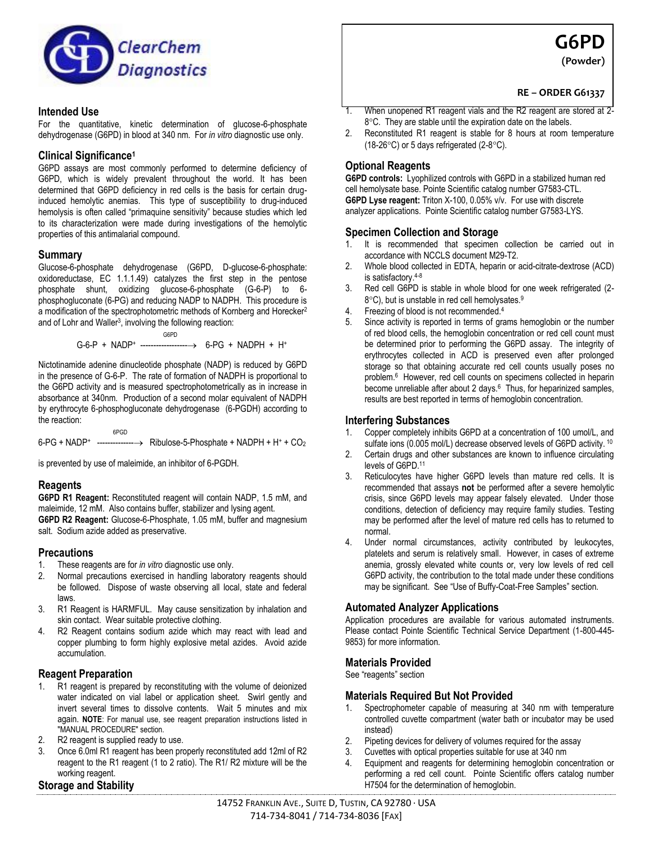

#### **Intended Use**

For the quantitative, kinetic determination of glucose-6-phosphate dehydrogenase (G6PD) in blood at 340 nm. For *in vitro* diagnostic use only.

#### **Clinical Significance<sup>1</sup>**

G6PD assays are most commonly performed to determine deficiency of G6PD, which is widely prevalent throughout the world. It has been determined that G6PD deficiency in red cells is the basis for certain druginduced hemolytic anemias. This type of susceptibility to drug-induced hemolysis is often called "primaquine sensitivity" because studies which led to its characterization were made during investigations of the hemolytic properties of this antimalarial compound.

### **Summary**

Glucose-6-phosphate dehydrogenase (G6PD, D-glucose-6-phosphate: oxidoreductase, EC 1.1.1.49) catalyzes the first step in the pentose phosphate shunt, oxidizing glucose-6-phosphate (G-6-P) to 6 phosphogluconate (6-PG) and reducing NADP to NADPH. This procedure is a modification of the spectrophotometric methods of Kornberg and Horecker<sup>2</sup> and of Lohr and Waller<sup>3</sup>, involving the following reaction:

> G6PD  $G-6-P + NADP+$  ---------------------> 6-PG + NADPH + H<sup>+</sup>

Nictotinamide adenine dinucleotide phosphate (NADP) is reduced by G6PD in the presence of G-6-P. The rate of formation of NADPH is proportional to the G6PD activity and is measured spectrophotometrically as in increase in absorbance at 340nm. Production of a second molar equivalent of NADPH by erythrocyte 6-phosphogluconate dehydrogenase (6-PGDH) according to the reaction:

 6PGD  $6$ -PG + NADP+ ----------------> Ribulose-5-Phosphate + NADPH + H+ +  $CO<sub>2</sub>$ 

is prevented by use of maleimide, an inhibitor of 6-PGDH.

### **Reagents**

**G6PD R1 Reagent:** Reconstituted reagent will contain NADP, 1.5 mM, and maleimide, 12 mM. Also contains buffer, stabilizer and lysing agent. **G6PD R2 Reagent:** Glucose-6-Phosphate, 1.05 mM, buffer and magnesium salt. Sodium azide added as preservative.

### **Precautions**

- 1. These reagents are for *in vitro* diagnostic use only.
- 2. Normal precautions exercised in handling laboratory reagents should be followed. Dispose of waste observing all local, state and federal laws.
- 3. R1 Reagent is HARMFUL. May cause sensitization by inhalation and skin contact. Wear suitable protective clothing.
- 4. R2 Reagent contains sodium azide which may react with lead and copper plumbing to form highly explosive metal azides. Avoid azide accumulation.

### **Reagent Preparation**

- R1 reagent is prepared by reconstituting with the volume of deionized water indicated on vial label or application sheet. Swirl gently and invert several times to dissolve contents. Wait 5 minutes and mix again. **NOTE**: For manual use, see reagent preparation instructions listed in "MANUAL PROCEDURE" section.
- 2. R2 reagent is supplied ready to use.
- 3. Once 6.0ml R1 reagent has been properly reconstituted add 12ml of R2 reagent to the R1 reagent (1 to 2 ratio). The R1/ R2 mixture will be the working reagent.

### **Storage and Stability**

**G6PD (Powder)**

# **RE – ORDER G61337**

- 1. When unopened R1 reagent vials and the R2 reagent are stored at 2- 8°C. They are stable until the expiration date on the labels.
- 2. Reconstituted R1 reagent is stable for 8 hours at room temperature (18-26 $\textdegree$ C) or 5 days refrigerated (2-8 $\textdegree$ C).

## **Optional Reagents**

**G6PD controls:** Lyophilized controls with G6PD in a stabilized human red cell hemolysate base. Pointe Scientific catalog number G7583-CTL. **G6PD Lyse reagent:** Triton X-100, 0.05% v/v. For use with discrete analyzer applications. Pointe Scientific catalog number G7583-LYS.

### **Specimen Collection and Storage**

- 1. It is recommended that specimen collection be carried out in accordance with NCCLS document M29-T2.
- 2. Whole blood collected in EDTA, heparin or acid-citrate-dextrose (ACD) is satisfactory.4-8
- 3. Red cell G6PD is stable in whole blood for one week refrigerated (2-  $8^{\circ}$ C), but is unstable in red cell hemolysates.<sup>9</sup>
- 4. Freezing of blood is not recommended.<sup>4</sup>
- 5. Since activity is reported in terms of grams hemoglobin or the number of red blood cells, the hemoglobin concentration or red cell count must be determined prior to performing the G6PD assay. The integrity of erythrocytes collected in ACD is preserved even after prolonged storage so that obtaining accurate red cell counts usually poses no problem.<sup>6</sup> However, red cell counts on specimens collected in heparin become unreliable after about 2 days.<sup>6</sup> Thus, for heparinized samples, results are best reported in terms of hemoglobin concentration.

#### **Interfering Substances**

- 1. Copper completely inhibits G6PD at a concentration of 100 umol/L, and sulfate ions (0.005 mol/L) decrease observed levels of G6PD activity. <sup>10</sup>
- 2. Certain drugs and other substances are known to influence circulating levels of G6PD.<sup>11</sup>
- 3. Reticulocytes have higher G6PD levels than mature red cells. It is recommended that assays **not** be performed after a severe hemolytic crisis, since G6PD levels may appear falsely elevated. Under those conditions, detection of deficiency may require family studies. Testing may be performed after the level of mature red cells has to returned to normal.
- 4. Under normal circumstances, activity contributed by leukocytes, platelets and serum is relatively small. However, in cases of extreme anemia, grossly elevated white counts or, very low levels of red cell G6PD activity, the contribution to the total made under these conditions may be significant. See "Use of Buffy-Coat-Free Samples" section.

### **Automated Analyzer Applications**

Application procedures are available for various automated instruments. Please contact Pointe Scientific Technical Service Department (1-800-445- 9853) for more information.

### **Materials Provided**

See "reagents" section

### **Materials Required But Not Provided**

- 1. Spectrophometer capable of measuring at 340 nm with temperature controlled cuvette compartment (water bath or incubator may be used instead)
- 2. Pipeting devices for delivery of volumes required for the assay
- 3. Cuvettes with optical properties suitable for use at 340 nm
- Equipment and reagents for determining hemoglobin concentration or performing a red cell count. Pointe Scientific offers catalog number H7504 for the determination of hemoglobin.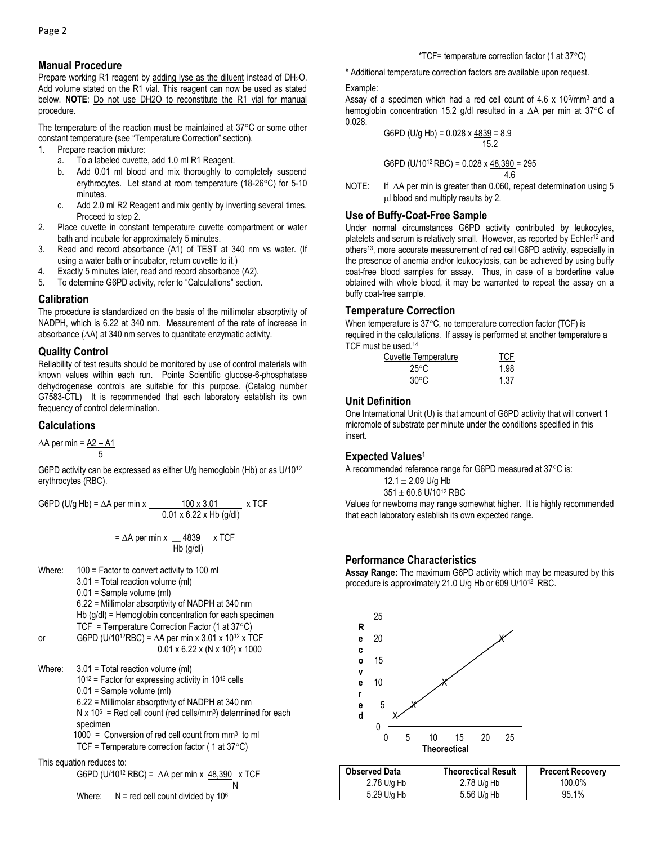### **Manual Procedure**

Prepare working R1 reagent by adding lyse as the diluent instead of DH<sub>2</sub>O. Add volume stated on the R1 vial. This reagent can now be used as stated below. **NOTE**: Do not use DH2O to reconstitute the R1 vial for manual procedure.

The temperature of the reaction must be maintained at  $37^{\circ}$ C or some other constant temperature (see "Temperature Correction" section).

- 1. Prepare reaction mixture:
	- a. To a labeled cuvette, add 1.0 ml R1 Reagent.
	- b. Add 0.01 ml blood and mix thoroughly to completely suspend erythrocytes. Let stand at room temperature (18-26°C) for 5-10 minutes.
	- c. Add 2.0 ml R2 Reagent and mix gently by inverting several times. Proceed to step 2.
- 2. Place cuvette in constant temperature cuvette compartment or water bath and incubate for approximately 5 minutes.
- 3. Read and record absorbance (A1) of TEST at 340 nm vs water. (If using a water bath or incubator, return cuvette to it.)
- 4. Exactly 5 minutes later, read and record absorbance (A2).
- 5. To determine G6PD activity, refer to "Calculations" section.

### **Calibration**

The procedure is standardized on the basis of the millimolar absorptivity of NADPH, which is 6.22 at 340 nm. Measurement of the rate of increase in absorbance  $(\Delta A)$  at 340 nm serves to quantitate enzymatic activity.

### **Quality Control**

Reliability of test results should be monitored by use of control materials with known values within each run. Pointe Scientific glucose-6-phosphatase dehydrogenase controls are suitable for this purpose. (Catalog number G7583-CTL) It is recommended that each laboratory establish its own frequency of control determination.

### **Calculations**

 $\Delta A$  per min =  $\Delta 2 - A1$ 5

G6PD activity can be expressed as either U/g hemoglobin (Hb) or as U/10<sup>12</sup> erythrocytes (RBC).

G6PD (U/g Hb) = 
$$
\Delta A
$$
 per min x 100 x 3.01 x TCF  
0.01 x 6.22 x Hb (g/dl)

$$
= \Delta A \text{ per min x} \frac{4839}{\text{Hb (g/dt)}} \times \text{TCF}
$$

Where: 100 = Factor to convert activity to 100 ml 3.01 = Total reaction volume (ml) 0.01 = Sample volume (ml) 6.22 = Millimolar absorptivity of NADPH at 340 nm Hb (g/dl) = Hemoglobin concentration for each specimen TCF = Temperature Correction Factor (1 at  $37^{\circ}$ C) or G6PD (U/10<sup>12</sup>RBC) =  $\Delta A$  per min x 3.01 x 10<sup>12</sup> x TCF 0.01 x 6.22 x (N x 10<sup>6</sup> ) x 1000 Where: 3.01 = Total reaction volume (ml)  $10^{12}$  = Factor for expressing activity in  $10^{12}$  cells 0.01 = Sample volume (ml) 6.22 = Millimolar absorptivity of NADPH at 340 nm

 $N \times 10^6$  = Red cell count (red cells/mm<sup>3</sup>) determined for each specimen

 1000 = Conversion of red cell count from mm<sup>3</sup> to ml TCF = Temperature correction factor ( 1 at 37C)

This equation reduces to:

$$
G6PD (U/10^{12} RBC) = \Delta A \text{ per min} \times \frac{48,390}{N} \times TCF
$$

Where:  $N =$  red cell count divided by 10 $6$ 

\*TCF= temperature correction factor (1 at  $37^{\circ}$ C)

\* Additional temperature correction factors are available upon request.

#### Example:

Assay of a specimen which had a red cell count of 4.6 x 10<sup>6</sup>/mm<sup>3</sup> and a hemoglobin concentration 15.2 g/dl resulted in a  $\Delta A$  per min at 37°C of 0.028.

$$
G6PD (U/g Hb) = 0.028 \times \frac{4839}{15.2} = 8.9
$$

$$
G6PD (U/10^{12} RBC) = 0.028 \times \frac{48,390}{4.6} = 295
$$

NOTE: If  $\Delta A$  per min is greater than 0.060, repeat determination using 5  $\mu$ l blood and multiply results by 2.

### **Use of Buffy-Coat-Free Sample**

Under normal circumstances G6PD activity contributed by leukocytes, platelets and serum is relatively small. However, as reported by Echler<sup>12</sup> and others<sup>13</sup>, more accurate measurement of red cell G6PD activity, especially in the presence of anemia and/or leukocytosis, can be achieved by using buffy coat-free blood samples for assay. Thus, in case of a borderline value obtained with whole blood, it may be warranted to repeat the assay on a buffy coat-free sample.

## **Temperature Correction**

When temperature is  $37^{\circ}$ C, no temperature correction factor (TCF) is required in the calculations. If assay is performed at another temperature a TCF must be used.<sup>14</sup>

| Cuvette Temperature | TCF  |
|---------------------|------|
| 25°C                | 1.98 |
| $30^{\circ}$ C      | 1.37 |

# **Unit Definition**

One International Unit (U) is that amount of G6PD activity that will convert 1 micromole of substrate per minute under the conditions specified in this insert.

# **Expected Values<sup>1</sup>**

A recommended reference range for G6PD measured at  $37^{\circ}$ C is:

$$
12.1 \pm 2.09
$$
 U/g Hb

 $351 \pm 60.6$  U/10<sup>12</sup> RBC

Values for newborns may range somewhat higher. It is highly recommended that each laboratory establish its own expected range.

### **Performance Characteristics**

**Assay Range:** The maximum G6PD activity which may be measured by this procedure is approximately 21.0 U/g Hb or 609 U/10<sup>12</sup> RBC.



| <b>Observed Data</b> | <b>Theorectical Result</b> | <b>Precent Recovery</b> |
|----------------------|----------------------------|-------------------------|
| 2.78 U/g Hb          | 2.78 U/g Hb                | 100.0%                  |
| 5.29 U/g Hb          | 5.56 U/g Hb                | 95.1%                   |